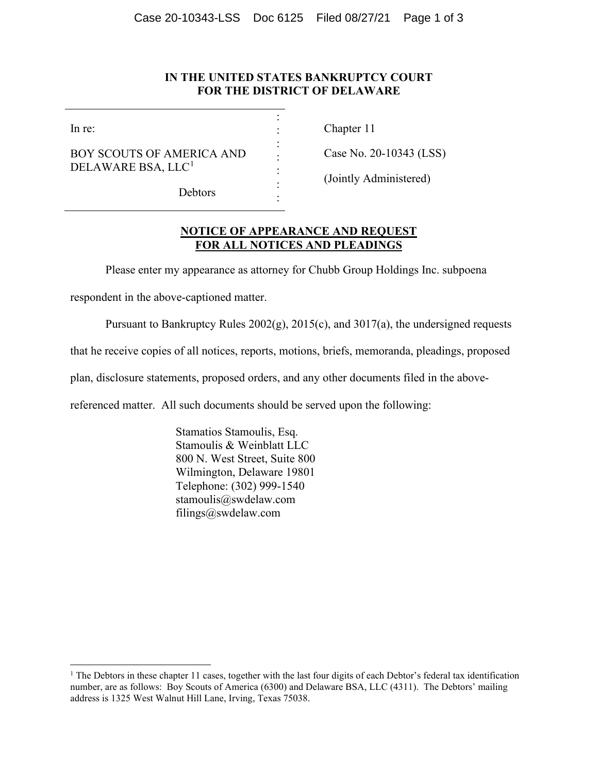## **IN THE UNITED STATES BANKRUPTCY COURT FOR THE DISTRICT OF DELAWARE**

: : : : : : :

In re:

BOY SCOUTS OF AMERICA AND DELAWARE BSA, LLC<sup>[1](#page-0-0)</sup>

Chapter 11

Case No. 20-10343 (LSS)

(Jointly Administered)

Debtors

## **NOTICE OF APPEARANCE AND REQUEST FOR ALL NOTICES AND PLEADINGS**

Please enter my appearance as attorney for Chubb Group Holdings Inc. subpoena

respondent in the above-captioned matter.

Pursuant to Bankruptcy Rules 2002(g), 2015(c), and 3017(a), the undersigned requests

that he receive copies of all notices, reports, motions, briefs, memoranda, pleadings, proposed

plan, disclosure statements, proposed orders, and any other documents filed in the above-

referenced matter. All such documents should be served upon the following:

Stamatios Stamoulis, Esq. Stamoulis & Weinblatt LLC 800 N. West Street, Suite 800 Wilmington, Delaware 19801 Telephone: (302) 999-1540 stamoulis@swdelaw.com filings@swdelaw.com

<span id="page-0-0"></span><sup>&</sup>lt;sup>1</sup> The Debtors in these chapter 11 cases, together with the last four digits of each Debtor's federal tax identification number, are as follows: Boy Scouts of America (6300) and Delaware BSA, LLC (4311). The Debtors' mailing address is 1325 West Walnut Hill Lane, Irving, Texas 75038.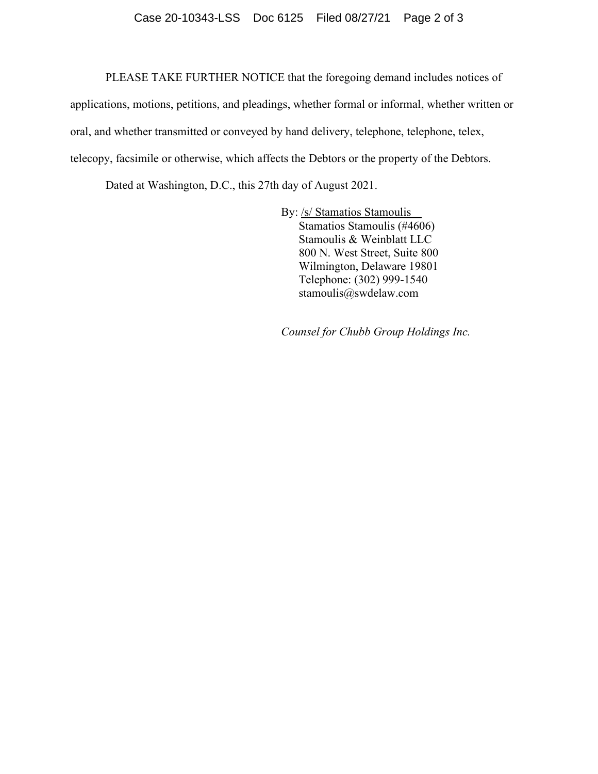## Case 20-10343-LSS Doc 6125 Filed 08/27/21 Page 2 of 3

PLEASE TAKE FURTHER NOTICE that the foregoing demand includes notices of

applications, motions, petitions, and pleadings, whether formal or informal, whether written or oral, and whether transmitted or conveyed by hand delivery, telephone, telephone, telex, telecopy, facsimile or otherwise, which affects the Debtors or the property of the Debtors.

Dated at Washington, D.C., this 27th day of August 2021.

By: /s/ Stamatios Stamoulis Stamatios Stamoulis (#4606) Stamoulis & Weinblatt LLC 800 N. West Street, Suite 800 Wilmington, Delaware 19801 Telephone: (302) 999-1540 stamoulis@swdelaw.com

*Counsel for Chubb Group Holdings Inc.*